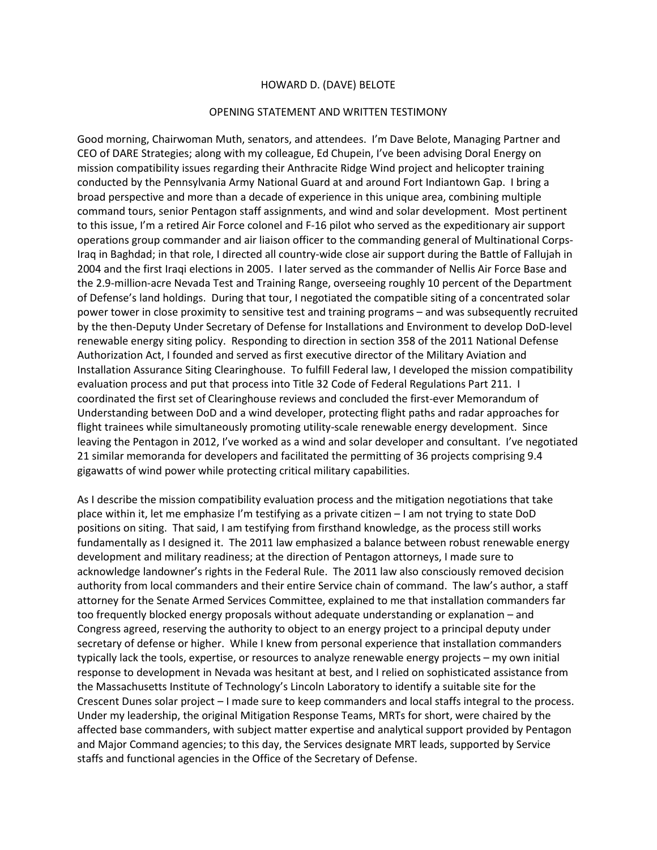## HOWARD D. (DAVE) BELOTE

## OPENING STATEMENT AND WRITTEN TESTIMONY

Good morning, Chairwoman Muth, senators, and attendees. I'm Dave Belote, Managing Partner and CEO of DARE Strategies; along with my colleague, Ed Chupein, I've been advising Doral Energy on mission compatibility issues regarding their Anthracite Ridge Wind project and helicopter training conducted by the Pennsylvania Army National Guard at and around Fort Indiantown Gap. I bring a broad perspective and more than a decade of experience in this unique area, combining multiple command tours, senior Pentagon staff assignments, and wind and solar development. Most pertinent to this issue, I'm a retired Air Force colonel and F-16 pilot who served as the expeditionary air support operations group commander and air liaison officer to the commanding general of Multinational Corps-Iraq in Baghdad; in that role, I directed all country-wide close air support during the Battle of Fallujah in 2004 and the first Iraqi elections in 2005. I later served as the commander of Nellis Air Force Base and the 2.9-million-acre Nevada Test and Training Range, overseeing roughly 10 percent of the Department of Defense's land holdings. During that tour, I negotiated the compatible siting of a concentrated solar power tower in close proximity to sensitive test and training programs – and was subsequently recruited by the then-Deputy Under Secretary of Defense for Installations and Environment to develop DoD-level renewable energy siting policy. Responding to direction in section 358 of the 2011 National Defense Authorization Act, I founded and served as first executive director of the Military Aviation and Installation Assurance Siting Clearinghouse. To fulfill Federal law, I developed the mission compatibility evaluation process and put that process into Title 32 Code of Federal Regulations Part 211. I coordinated the first set of Clearinghouse reviews and concluded the first-ever Memorandum of Understanding between DoD and a wind developer, protecting flight paths and radar approaches for flight trainees while simultaneously promoting utility-scale renewable energy development. Since leaving the Pentagon in 2012, I've worked as a wind and solar developer and consultant. I've negotiated 21 similar memoranda for developers and facilitated the permitting of 36 projects comprising 9.4 gigawatts of wind power while protecting critical military capabilities.

As I describe the mission compatibility evaluation process and the mitigation negotiations that take place within it, let me emphasize I'm testifying as a private citizen – I am not trying to state DoD positions on siting. That said, I am testifying from firsthand knowledge, as the process still works fundamentally as I designed it. The 2011 law emphasized a balance between robust renewable energy development and military readiness; at the direction of Pentagon attorneys, I made sure to acknowledge landowner's rights in the Federal Rule. The 2011 law also consciously removed decision authority from local commanders and their entire Service chain of command. The law's author, a staff attorney for the Senate Armed Services Committee, explained to me that installation commanders far too frequently blocked energy proposals without adequate understanding or explanation – and Congress agreed, reserving the authority to object to an energy project to a principal deputy under secretary of defense or higher. While I knew from personal experience that installation commanders typically lack the tools, expertise, or resources to analyze renewable energy projects – my own initial response to development in Nevada was hesitant at best, and I relied on sophisticated assistance from the Massachusetts Institute of Technology's Lincoln Laboratory to identify a suitable site for the Crescent Dunes solar project – I made sure to keep commanders and local staffs integral to the process. Under my leadership, the original Mitigation Response Teams, MRTs for short, were chaired by the affected base commanders, with subject matter expertise and analytical support provided by Pentagon and Major Command agencies; to this day, the Services designate MRT leads, supported by Service staffs and functional agencies in the Office of the Secretary of Defense.